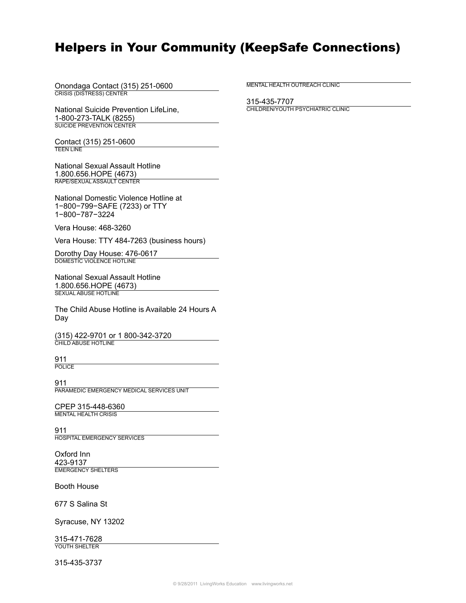## Helpers in Your Community (KeepSafe Connections)

Onondaga Contact (315) 251-0600 CRISIS (DISTRESS) CENTER

National Suicide Prevention LifeLine, 1-800-273-TALK (8255) SUICIDE PREVENTION CENTER

Contact (315) 251-0600 TEEN LINE

National Sexual Assault Hotline 1.800.656.HOPE (4673) RAPE/SEXUAL ASSAULT CENTER

National Domestic Violence Hotline at 1−800−799−SAFE (7233) or TTY 1−800−787−3224

Vera House: 468-3260

Vera House: TTY 484-7263 (business hours)

Dorothy Day House: 476-0617 DOMESTIC VIOLENCE HOTLINE

National Sexual Assault Hotline 1.800.656.HOPE (4673) SEXUAL ABUSE HOTLINE

The Child Abuse Hotline is Available 24 Hours A Day

(315) 422-9701 or 1 800-342-3720 CHILD ABUSE HOTLINE

911 **POLICE** 

911 PARAMEDIC EMERGENCY MEDICAL SERVICES UNIT

CPEP 315-448-6360 MENTAL HEALTH CRISIS

911 HOSPITAL EMERGENCY SERVICES

Oxford Inn 423-9137 EMERGENCY SHELTERS

Booth House

677 S Salina St

Syracuse, NY 13202

315-471-7628 YOUTH SHELTER

315-435-3737

MENTAL HEALTH OUTREACH CLINIC

315-435-7707 CHILDREN/YOUTH PSYCHIATRIC CLINIC